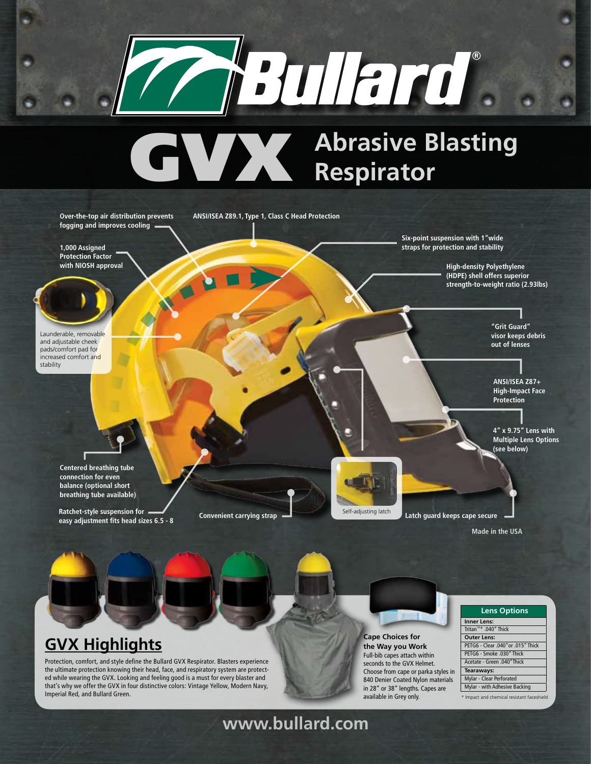# ZBullard.

# **GVX Abrasive Blasting Respirator Respirator**

**Latch guard keeps cape secure 4" x 9.75" Lens with Multiple Lens Options (see below) ANSI/ISEA Z87+ High-Impact Face Protection "Grit Guard" visor keeps debris out of lenses High-density Polyethylene (HDPE) shell offers superior strength-to-weight ratio (2.93lbs) Ratchet-style suspension for Self-adjusting latch Self-adjusting latch Self-adjusting latch easy adjustment fits head sizes 6.5 - 8 Centered breathing tube connection for even balance (optional short breathing tube available) Six-point suspension with 1"wide straps for protection and stability** Over-the-top air distribution prevents ANSI/ISEA Z89.1, Type 1, Class C Head Protection **fogging and improves cooling 1,000 Assigned Protection Factor with NIOSH approval** Launderable, removable and adjustable cheek pads/comfort pad for increased comfort and stability **Convenient carrying strap Made in the USA**

# **GVX Highlights**

Protection, comfort, and style define the Bullard GVX Respirator. Blasters experience the ultimate protection knowing their head, face, and respiratory system are protected while wearing the GVX. Looking and feeling good is a must for every blaster and that's why we offer the GVX in four distinctive colors: Vintage Yellow, Modern Navy, Imperial Red, and Bullard Green.



**Cape Choices for the Way you Work**  Full-bib capes attach within seconds to the GVX Helmet. Choose from cape or parka styles in 840 Denier Coated Nylon materials in 28" or 38" lengths. Capes are available in Grey only.

| <b>Lens Options</b>                       |
|-------------------------------------------|
| <b>Inner Lens:</b>                        |
| Tritan™* .040" Thick                      |
| <b>Outer Lens:</b>                        |
| PETG6 - Clear .040" or .015" Thick        |
| PETG6 - Smoke .030" Thick                 |
| Acetate - Green .040"Thick                |
| Tearaways:                                |
| Mylar - Clear Perforated                  |
| Mylar - with Adhesive Backing             |
| * Impact and chemical resistant faceshiel |

\* Impact and chemical resistant faceshield

# **www.bullard.com**